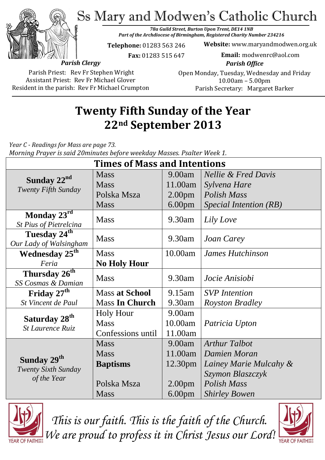Ss Mary and Modwen's Catholic Church



*78a Guild Street, Burton Upon Trent, DE14 1NB Part of the Archdiocese of Birmingham, Registered Charity Number 234216*

**Telephone:** 01283 563 246

 **Fax:** 01283 515 647

**Website:** www.maryandmodwen.org.uk **Email:** modwenrc@aol.com

*Parish Clergy*

Parish Priest: Rev Fr Stephen Wright Assistant Priest: Rev Fr Michael Glover Resident in the parish: Rev Fr Michael Crumpton

*Parish Office* Open Monday, Tuesday, Wednesday and Friday 10.00am – 5.00pm Parish Secretary:Margaret Barker

# **Twenty Fifth Sunday of the Year 22nd September 2013**

*Year C - Readings for Mass are page 73. Morning Prayer is said 20minutes before weekday Masses. Psalter Week 1.*

| <b>Times of Mass and Intentions</b>                                  |                       |                    |                                |
|----------------------------------------------------------------------|-----------------------|--------------------|--------------------------------|
| Sunday 22 <sup>nd</sup><br><b>Twenty Fifth Sunday</b>                | <b>Mass</b>           | 9.00am             | <b>Nellie &amp; Fred Davis</b> |
|                                                                      | <b>Mass</b>           | 11.00am            | Sylvena Hare                   |
|                                                                      | Polska Msza           | 2.00 <sub>pm</sub> | Polish Mass                    |
|                                                                      | <b>Mass</b>           | 6.00 <sub>pm</sub> | Special Intention (RB)         |
| Monday 23rd                                                          | <b>Mass</b>           | 9.30am             | Lily Love                      |
| St Pius of Pietrelcina                                               |                       |                    |                                |
| Tuesday 24 <sup>th</sup>                                             | <b>Mass</b>           | 9.30am             | <b>Joan Carey</b>              |
| Our Lady of Walsingham                                               |                       |                    |                                |
| <b>Wednesday 25<sup>th</sup></b>                                     | <b>Mass</b>           | 10.00am            | <b>James Hutchinson</b>        |
| Feria                                                                | <b>No Holy Hour</b>   |                    |                                |
| Thursday $2\overline{6}^{\overline{th}}$                             | <b>Mass</b>           | 9.30am             | Jocie Anisiobi                 |
| SS Cosmas & Damian                                                   |                       |                    |                                |
| Friday 27 <sup>th</sup>                                              | <b>Mass at School</b> | 9.15am             | <b>SVP</b> Intention           |
| St Vincent de Paul                                                   | <b>Mass In Church</b> | 9.30am             | <b>Royston Bradley</b>         |
| Saturday 28 <sup>th</sup><br><b>St Laurence Ruiz</b>                 | <b>Holy Hour</b>      | 9.00am             |                                |
|                                                                      | <b>Mass</b>           | 10.00am            | Patricia Upton                 |
|                                                                      | Confessions until     | 11.00am            |                                |
| Sunday 29 <sup>th</sup><br><b>Twenty Sixth Sunday</b><br>of the Year | <b>Mass</b>           | 9.00am             | <b>Arthur Talbot</b>           |
|                                                                      | <b>Mass</b>           | 11.00am            | Damien Moran                   |
|                                                                      | <b>Baptisms</b>       | 12.30pm            | Lainey Marie Mulcahy &         |
|                                                                      |                       |                    | Szymon Blaszczyk               |
|                                                                      | Polska Msza           | 2.00 <sub>pm</sub> | <b>Polish Mass</b>             |
|                                                                      | <b>Mass</b>           | 6.00 <sub>pm</sub> | <b>Shirley Bowen</b>           |



*This is our faith. This is the faith of the Church. We are proud to profess it in Christ Jesus our Lord!*

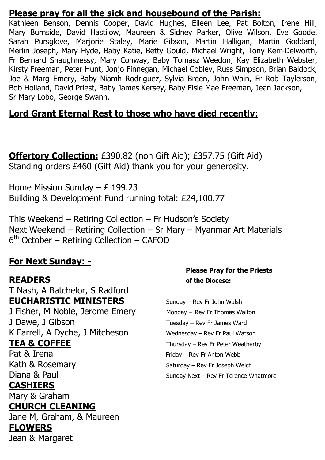#### **Please pray for all the sick and housebound of the Parish:**

Kathleen Benson, Dennis Cooper, David Hughes, Eileen Lee, Pat Bolton, Irene Hill, Mary Burnside, David Hastilow, Maureen & Sidney Parker, Olive Wilson, Eve Goode, Sarah Pursglove, Marjorie Staley, Marie Gibson, Martin Halligan, Martin Goddard, Merlin Joseph, Mary Hyde, Baby Katie, Betty Gould, Michael Wright, Tony Kerr-Delworth, Fr Bernard Shaughnessy, Mary Conway, Baby Tomasz Weedon, Kay Elizabeth Webster, Kirsty Freeman, Peter Hunt, Jonjo Finnegan, Michael Cobley, Russ Simpson, Brian Baldock, Joe & Marg Emery, Baby Niamh Rodriguez, Sylvia Breen, John Wain, Fr Rob Taylerson, Bob Holland, David Priest, Baby James Kersey, Baby Elsie Mae Freeman, Jean Jackson, Sr Mary Lobo, George Swann.

#### **Lord Grant Eternal Rest to those who have died recently:**

**Offertory Collection:** £390.82 (non Gift Aid); £357.75 (Gift Aid) Standing orders £460 (Gift Aid) thank you for your generosity.

Home Mission Sunday – £ 199.23 Building & Development Fund running total: £24,100.77

This Weekend – Retiring Collection – Fr Hudson's Society Next Weekend – Retiring Collection – Sr Mary – Myanmar Art Materials 6 th October – Retiring Collection – CAFOD

#### **For Next Sunday: -**

T Nash, A Batchelor, S Radford **EUCHARISTIC MINISTERS** Sunday – Rev Fr John Walsh

J Fisher, M Noble, Jerome Emery Monday – Rev Fr Thomas Walton J Dawe, J Gibson Tuesday – Rev Fr James Ward K Farrell, A Dyche, J Mitcheson Wednesday – Rev Fr Paul Watson

### **CASHIERS**

Mary & Graham

#### **CHURCH CLEANING**

Jane M, Graham, & Maureen **FLOWERS**  Jean & Margaret

#### **Please Pray for the Priests READERS of the Diocese:**

**TEA & COFFEE** Thursday – Rev Fr Peter Weatherby Pat & Irena Friday – Rev Fr Anton Webb Kath & Rosemary Saturday – Rev Fr Joseph Welch Diana & Paul Sunday Next – Rev Fr Terence Whatmore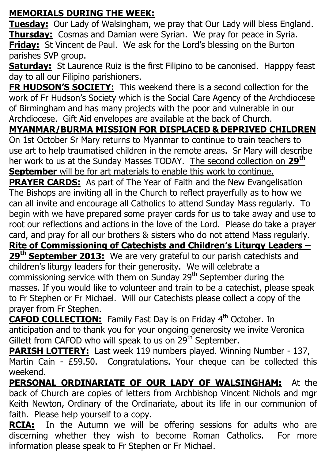### **MEMORIALS DURING THE WEEK:**

**Tuesday:** Our Lady of Walsingham, we pray that Our Lady will bless England. **Thursday:** Cosmas and Damian were Syrian. We pray for peace in Syria. **Friday:** St Vincent de Paul. We ask for the Lord's blessing on the Burton parishes SVP group.

**Saturday:** St Laurence Ruiz is the first Filipino to be canonised. Happpy feast day to all our Filipino parishioners.

**FR HUDSON'S SOCIETY:** This weekend there is a second collection for the work of Fr Hudson's Society which is the Social Care Agency of the Archdiocese of Birmingham and has many projects with the poor and vulnerable in our Archdiocese. Gift Aid envelopes are available at the back of Church.

**MYANMAR/BURMA MISSION FOR DISPLACED & DEPRIVED CHILDREN**

On 1st October Sr Mary returns to Myanmar to continue to train teachers to use art to help traumatised children in the remote areas. Sr Mary will describe her work to us at the Sunday Masses TODAY. The second collection on **29th September** will be for art materials to enable this work to continue.

**PRAYER CARDS:** As part of The Year of Faith and the New Evangelisation The Bishops are inviting all in the Church to reflect prayerfully as to how we can all invite and encourage all Catholics to attend Sunday Mass regularly. To begin with we have prepared some prayer cards for us to take away and use to root our reflections and actions in the love of the Lord. Please do take a prayer card, and pray for all our brothers & sisters who do not attend Mass regularly.

**Rite of Commissioning of Catechists and Children's Liturgy Leaders –**

**29th September 2013:** We are very grateful to our parish catechists and children's liturgy leaders for their generosity. We will celebrate a commissioning service with them on Sunday  $29<sup>th</sup>$  September during the masses. If you would like to volunteer and train to be a catechist, please speak to Fr Stephen or Fr Michael. Will our Catechists please collect a copy of the prayer from Fr Stephen.

**CAFOD COLLECTION:** Family Fast Day is on Friday 4<sup>th</sup> October. In anticipation and to thank you for your ongoing generosity we invite Veronica Gillett from CAFOD who will speak to us on  $29^{th}$  September.

**PARISH LOTTERY:** Last week 119 numbers played. Winning Number - 137, Martin Cain - £59.50. Congratulations. Your cheque can be collected this weekend.

**PERSONAL ORDINARIATE OF OUR LADY OF WALSINGHAM:** At the back of Church are copies of letters from Archbishop Vincent Nichols and mgr Keith Newton, Ordinary of the Ordinariate, about its life in our communion of faith. Please help yourself to a copy.

**RCIA:** In the Autumn we will be offering sessions for adults who are discerning whether they wish to become Roman Catholics. For more information please speak to Fr Stephen or Fr Michael.